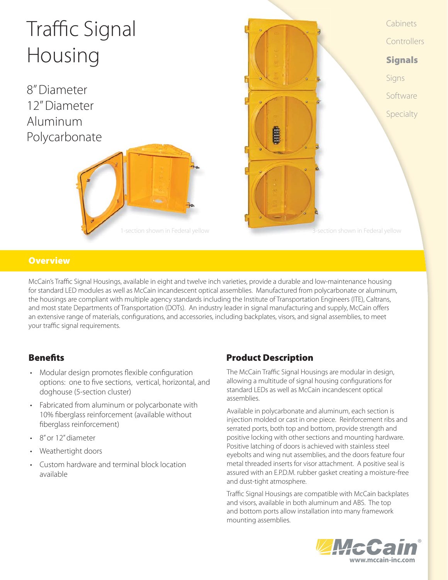

## **Overview**

McCain's Traffic Signal Housings, available in eight and twelve inch varieties, provide a durable and low-maintenance housing for standard LED modules as well as McCain incandescent optical assemblies. Manufactured from polycarbonate or aluminum, the housings are compliant with multiple agency standards including the Institute of Transportation Engineers (ITE), Caltrans, and most state Departments of Transportation (DOTs). An industry leader in signal manufacturing and supply, McCain offers an extensive range of materials, configurations, and accessories, including backplates, visors, and signal assemblies, to meet your traffic signal requirements.

- Modular design promotes flexible configuration options: one to five sections, vertical, horizontal, and doghouse (5-section cluster)
- Fabricated from aluminum or polycarbonate with 10% fiberglass reinforcement (available without fiberglass reinforcement)
- 8" or 12" diameter
- Weathertight doors
- Custom hardware and terminal block location available

# **Benefits Benefits Benefits Product Description**

The McCain Traffic Signal Housings are modular in design, allowing a multitude of signal housing configurations for standard LEDs as well as McCain incandescent optical assemblies.

Available in polycarbonate and aluminum, each section is injection molded or cast in one piece. Reinforcement ribs and serrated ports, both top and bottom, provide strength and positive locking with other sections and mounting hardware. Positive latching of doors is achieved with stainless steel eyebolts and wing nut assemblies, and the doors feature four metal threaded inserts for visor attachment. A positive seal is assured with an E.P.D.M. rubber gasket creating a moisture-free and dust-tight atmosphere.

Traffic Signal Housings are compatible with McCain backplates and visors, available in both aluminum and ABS. The top and bottom ports allow installation into many framework mounting assemblies.